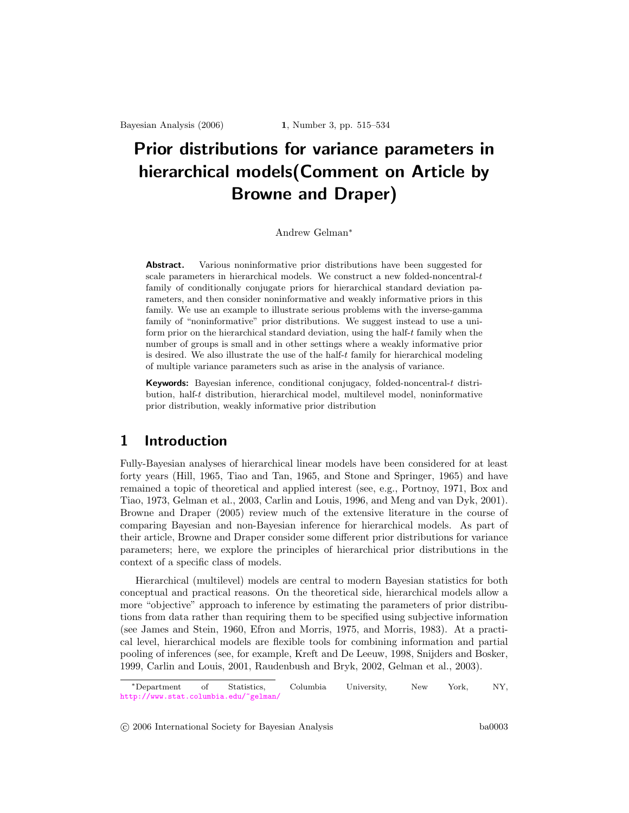# Prior distributions for variance parameters in hierarchical models(Comment on Article by Browne and Draper)

Andrew Gelman<sup>∗</sup>

Abstract. Various noninformative prior distributions have been suggested for scale parameters in hierarchical models. We construct a new folded-noncentral-t family of conditionally conjugate priors for hierarchical standard deviation parameters, and then consider noninformative and weakly informative priors in this family. We use an example to illustrate serious problems with the inverse-gamma family of "noninformative" prior distributions. We suggest instead to use a uniform prior on the hierarchical standard deviation, using the half- $t$  family when the number of groups is small and in other settings where a weakly informative prior is desired. We also illustrate the use of the half-t family for hierarchical modeling of multiple variance parameters such as arise in the analysis of variance.

Keywords: Bayesian inference, conditional conjugacy, folded-noncentral-t distribution, half-t distribution, hierarchical model, multilevel model, noninformative prior distribution, weakly informative prior distribution

### 1 Introduction

Fully-Bayesian analyses of hierarchical linear models have been considered for at least forty years (Hill, 1965, Tiao and Tan, 1965, and Stone and Springer, 1965) and have remained a topic of theoretical and applied interest (see, e.g., Portnoy, 1971, Box and Tiao, 1973, Gelman et al., 2003, Carlin and Louis, 1996, and Meng and van Dyk, 2001). Browne and Draper (2005) review much of the extensive literature in the course of comparing Bayesian and non-Bayesian inference for hierarchical models. As part of their article, Browne and Draper consider some different prior distributions for variance parameters; here, we explore the principles of hierarchical prior distributions in the context of a specific class of models.

Hierarchical (multilevel) models are central to modern Bayesian statistics for both conceptual and practical reasons. On the theoretical side, hierarchical models allow a more "objective" approach to inference by estimating the parameters of prior distributions from data rather than requiring them to be specified using subjective information (see James and Stein, 1960, Efron and Morris, 1975, and Morris, 1983). At a practical level, hierarchical models are flexible tools for combining information and partial pooling of inferences (see, for example, Kreft and De Leeuw, 1998, Snijders and Bosker, 1999, Carlin and Louis, 2001, Raudenbush and Bryk, 2002, Gelman et al., 2003).

°c 2006 International Society for Bayesian Analysis ba0003

<sup>∗</sup>Department of Statistics, Columbia University, New York, NY, <http://www.stat.columbia.edu/~gelman/>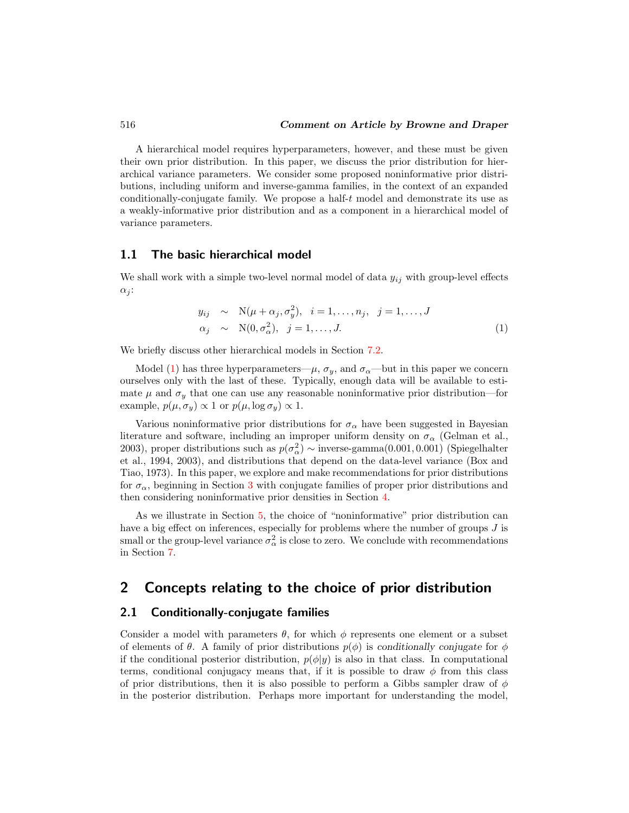A hierarchical model requires hyperparameters, however, and these must be given their own prior distribution. In this paper, we discuss the prior distribution for hierarchical variance parameters. We consider some proposed noninformative prior distributions, including uniform and inverse-gamma families, in the context of an expanded conditionally-conjugate family. We propose a half- $t$  model and demonstrate its use as a weakly-informative prior distribution and as a component in a hierarchical model of variance parameters.

### 1.1 The basic hierarchical model

<span id="page-1-0"></span>We shall work with a simple two-level normal model of data  $y_{ij}$  with group-level effects  $\alpha_i$ :

$$
y_{ij} \sim \mathcal{N}(\mu + \alpha_j, \sigma_y^2), \quad i = 1, \dots, n_j, \quad j = 1, \dots, J
$$
  

$$
\alpha_j \sim \mathcal{N}(0, \sigma_\alpha^2), \quad j = 1, \dots, J.
$$
 (1)

We briefly discuss other hierarchical models in Section [7.2.](#page-13-0)

Model [\(1\)](#page-1-0) has three hyperparameters— $\mu$ ,  $\sigma_y$ , and  $\sigma_\alpha$ —but in this paper we concern ourselves only with the last of these. Typically, enough data will be available to estimate  $\mu$  and  $\sigma_y$  that one can use any reasonable noninformative prior distribution—for example,  $p(\mu, \sigma_y) \propto 1$  or  $p(\mu, \log \sigma_y) \propto 1$ .

Various noninformative prior distributions for  $\sigma_{\alpha}$  have been suggested in Bayesian literature and software, including an improper uniform density on  $\sigma_{\alpha}$  (Gelman et al., 2003), proper distributions such as  $p(\sigma_{\alpha}^2) \sim \text{inverse-gamma}(0.001, 0.001)$  (Spiegelhalter et al., 1994, 2003), and distributions that depend on the data-level variance (Box and Tiao, 1973). In this paper, we explore and make recommendations for prior distributions for  $\sigma_{\alpha}$ , beginning in Section [3](#page-3-0) with conjugate families of proper prior distributions and then considering noninformative prior densities in Section [4.](#page-5-0)

As we illustrate in Section [5,](#page-7-0) the choice of "noninformative" prior distribution can have a big effect on inferences, especially for problems where the number of groups J is small or the group-level variance  $\sigma_{\alpha}^2$  is close to zero. We conclude with recommendations in Section [7.](#page-12-0)

## <span id="page-1-1"></span>2 Concepts relating to the choice of prior distribution

#### 2.1 Conditionally-conjugate families

Consider a model with parameters  $\theta$ , for which  $\phi$  represents one element or a subset of elements of  $\theta$ . A family of prior distributions  $p(\phi)$  is conditionally conjugate for  $\phi$ if the conditional posterior distribution,  $p(\phi|y)$  is also in that class. In computational terms, conditional conjugacy means that, if it is possible to draw  $\phi$  from this class of prior distributions, then it is also possible to perform a Gibbs sampler draw of  $\phi$ in the posterior distribution. Perhaps more important for understanding the model,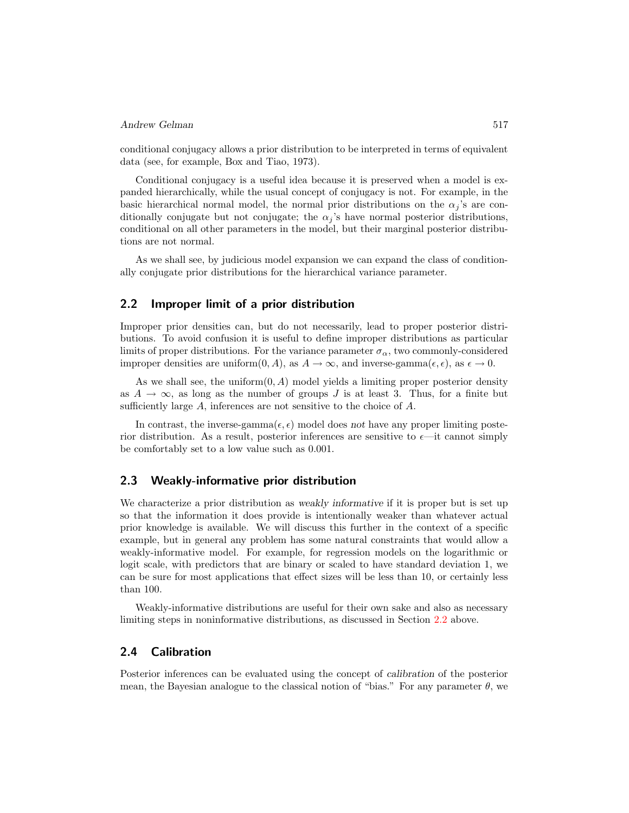conditional conjugacy allows a prior distribution to be interpreted in terms of equivalent data (see, for example, Box and Tiao, 1973).

Conditional conjugacy is a useful idea because it is preserved when a model is expanded hierarchically, while the usual concept of conjugacy is not. For example, in the basic hierarchical normal model, the normal prior distributions on the  $\alpha_i$ 's are conditionally conjugate but not conjugate; the  $\alpha_j$ 's have normal posterior distributions, conditional on all other parameters in the model, but their marginal posterior distributions are not normal.

As we shall see, by judicious model expansion we can expand the class of conditionally conjugate prior distributions for the hierarchical variance parameter.

### <span id="page-2-0"></span>2.2 Improper limit of a prior distribution

Improper prior densities can, but do not necessarily, lead to proper posterior distributions. To avoid confusion it is useful to define improper distributions as particular limits of proper distributions. For the variance parameter  $\sigma_{\alpha}$ , two commonly-considered improper densities are uniform $(0, A)$ , as  $A \to \infty$ , and inverse-gamma $(\epsilon, \epsilon)$ , as  $\epsilon \to 0$ .

As we shall see, the uniform $(0, A)$  model yields a limiting proper posterior density as  $A \to \infty$ , as long as the number of groups J is at least 3. Thus, for a finite but sufficiently large A, inferences are not sensitive to the choice of A.

In contrast, the inverse-gamma $(\epsilon, \epsilon)$  model does not have any proper limiting posterior distribution. As a result, posterior inferences are sensitive to  $\epsilon$ —it cannot simply be comfortably set to a low value such as 0.001.

### 2.3 Weakly-informative prior distribution

We characterize a prior distribution as weakly informative if it is proper but is set up so that the information it does provide is intentionally weaker than whatever actual prior knowledge is available. We will discuss this further in the context of a specific example, but in general any problem has some natural constraints that would allow a weakly-informative model. For example, for regression models on the logarithmic or logit scale, with predictors that are binary or scaled to have standard deviation 1, we can be sure for most applications that effect sizes will be less than 10, or certainly less than 100.

Weakly-informative distributions are useful for their own sake and also as necessary limiting steps in noninformative distributions, as discussed in Section [2.2](#page-2-0) above.

### <span id="page-2-1"></span>2.4 Calibration

Posterior inferences can be evaluated using the concept of calibration of the posterior mean, the Bayesian analogue to the classical notion of "bias." For any parameter  $\theta$ , we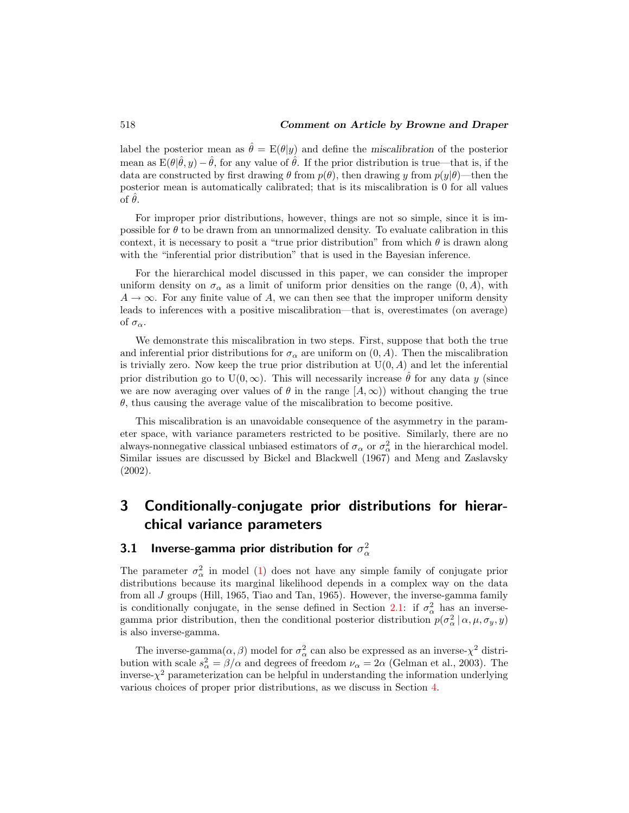label the posterior mean as  $\hat{\theta} = E(\theta | y)$  and define the miscalibration of the posterior mean as  $E(\theta|\hat{\theta}, y) - \hat{\theta}$ , for any value of  $\hat{\theta}$ . If the prior distribution is true—that is, if the data are constructed by first drawing  $\theta$  from  $p(\theta)$ , then drawing y from  $p(y|\theta)$ —then the posterior mean is automatically calibrated; that is its miscalibration is 0 for all values of  $\theta$ .

For improper prior distributions, however, things are not so simple, since it is impossible for  $\theta$  to be drawn from an unnormalized density. To evaluate calibration in this context, it is necessary to posit a "true prior distribution" from which  $\theta$  is drawn along with the "inferential prior distribution" that is used in the Bayesian inference.

For the hierarchical model discussed in this paper, we can consider the improper uniform density on  $\sigma_{\alpha}$  as a limit of uniform prior densities on the range  $(0, A)$ , with  $A \rightarrow \infty$ . For any finite value of A, we can then see that the improper uniform density leads to inferences with a positive miscalibration—that is, overestimates (on average) of  $\sigma_{\alpha}$ .

We demonstrate this miscalibration in two steps. First, suppose that both the true and inferential prior distributions for  $\sigma_{\alpha}$  are uniform on  $(0, A)$ . Then the miscalibration is trivially zero. Now keep the true prior distribution at  $U(0, A)$  and let the inferential prior distribution go to U(0,  $\infty$ ). This will necessarily increase  $\hat{\theta}$  for any data y (since we are now averaging over values of  $\theta$  in the range  $[A,\infty)$  without changing the true  $\theta$ , thus causing the average value of the miscalibration to become positive.

This miscalibration is an unavoidable consequence of the asymmetry in the parameter space, with variance parameters restricted to be positive. Similarly, there are no always-nonnegative classical unbiased estimators of  $\sigma_{\alpha}$  or  $\sigma_{\alpha}^2$  in the hierarchical model. Similar issues are discussed by Bickel and Blackwell (1967) and Meng and Zaslavsky (2002).

## <span id="page-3-0"></span>3 Conditionally-conjugate prior distributions for hierarchical variance parameters

## <span id="page-3-1"></span>3.1 – Inverse-gamma prior distribution for  $\sigma_{\alpha}^2$

The parameter  $\sigma_{\alpha}^2$  in model [\(1\)](#page-1-0) does not have any simple family of conjugate prior distributions because its marginal likelihood depends in a complex way on the data from all J groups (Hill, 1965, Tiao and Tan, 1965). However, the inverse-gamma family is conditionally conjugate, in the sense defined in Section [2.1:](#page-1-1) if  $\sigma_{\alpha}^2$  has an inversegamma prior distribution, then the conditional posterior distribution  $p(\sigma_{\alpha}^2 | \alpha, \mu, \sigma_y, y)$ is also inverse-gamma.

The inverse-gamma $(\alpha, \beta)$  model for  $\sigma_{\alpha}^2$  can also be expressed as an inverse- $\chi^2$  distribution with scale  $s_{\alpha}^2 = \beta/\alpha$  and degrees of freedom  $\nu_{\alpha} = 2\alpha$  (Gelman et al., 2003). The inverse- $\chi^2$  parameterization can be helpful in understanding the information underlying various choices of proper prior distributions, as we discuss in Section [4.](#page-5-0)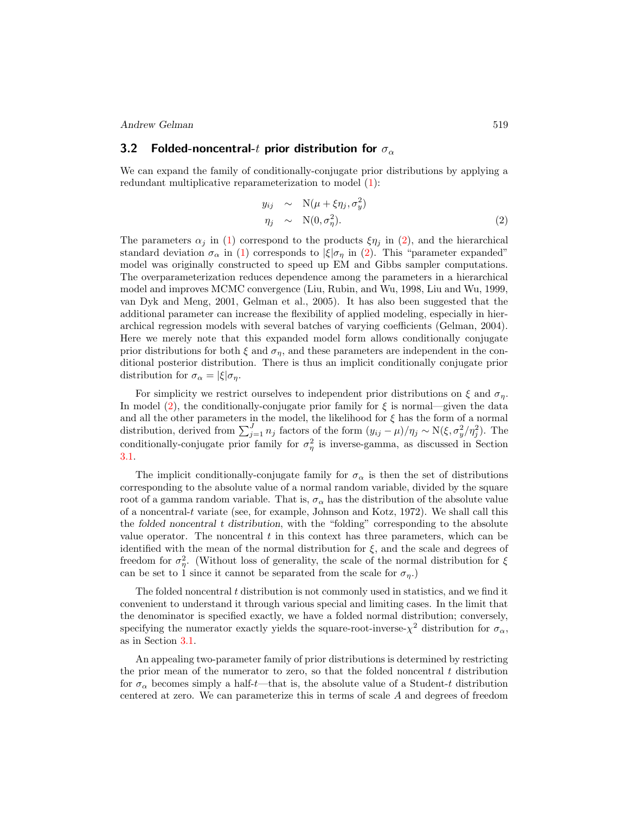### <span id="page-4-1"></span>3.2 Folded-noncentral-t prior distribution for  $\sigma_{\alpha}$

We can expand the family of conditionally-conjugate prior distributions by applying a redundant multiplicative reparameterization to model [\(1\)](#page-1-0):

<span id="page-4-0"></span>
$$
y_{ij} \sim \mathcal{N}(\mu + \xi \eta_j, \sigma_y^2)
$$
  
\n
$$
\eta_j \sim \mathcal{N}(0, \sigma_\eta^2).
$$
 (2)

The parameters  $\alpha_j$  in [\(1\)](#page-1-0) correspond to the products  $\xi\eta_j$  in [\(2\)](#page-4-0), and the hierarchical standard deviation  $\sigma_{\alpha}$  in [\(1\)](#page-1-0) corresponds to  $|\xi|\sigma_{\eta}$  in [\(2\)](#page-4-0). This "parameter expanded" model was originally constructed to speed up EM and Gibbs sampler computations. The overparameterization reduces dependence among the parameters in a hierarchical model and improves MCMC convergence (Liu, Rubin, and Wu, 1998, Liu and Wu, 1999, van Dyk and Meng, 2001, Gelman et al., 2005). It has also been suggested that the additional parameter can increase the flexibility of applied modeling, especially in hierarchical regression models with several batches of varying coefficients (Gelman, 2004). Here we merely note that this expanded model form allows conditionally conjugate prior distributions for both  $\xi$  and  $\sigma_n$ , and these parameters are independent in the conditional posterior distribution. There is thus an implicit conditionally conjugate prior distribution for  $\sigma_{\alpha} = |\xi| \sigma_{\eta}$ .

For simplicity we restrict ourselves to independent prior distributions on  $\xi$  and  $\sigma_{\eta}$ . In model  $(2)$ , the conditionally-conjugate prior family for  $\xi$  is normal—given the data and all the other parameters in the model, the likelihood for  $\xi$  has the form of a normal distribution, derived from  $\sum_{j=1}^{J} n_j$  factors of the form  $(y_{ij} - \mu)/\eta_j \sim N(\xi, \sigma_y^2/\eta_j^2)$ . The conditionally-conjugate prior family for  $\sigma_{\eta}^2$  is inverse-gamma, as discussed in Section [3.1.](#page-3-1)

The implicit conditionally-conjugate family for  $\sigma_{\alpha}$  is then the set of distributions corresponding to the absolute value of a normal random variable, divided by the square root of a gamma random variable. That is,  $\sigma_{\alpha}$  has the distribution of the absolute value of a noncentral-t variate (see, for example, Johnson and Kotz, 1972). We shall call this the folded noncentral t distribution, with the "folding" corresponding to the absolute value operator. The noncentral  $t$  in this context has three parameters, which can be identified with the mean of the normal distribution for  $\xi$ , and the scale and degrees of freedom for  $\sigma_{\eta}^2$ . (Without loss of generality, the scale of the normal distribution for  $\xi$ can be set to 1 since it cannot be separated from the scale for  $\sigma_{\eta}$ .

The folded noncentral  $t$  distribution is not commonly used in statistics, and we find it convenient to understand it through various special and limiting cases. In the limit that the denominator is specified exactly, we have a folded normal distribution; conversely, specifying the numerator exactly yields the square-root-inverse- $\chi^2$  distribution for  $\sigma_{\alpha}$ , as in Section [3.1.](#page-3-1)

An appealing two-parameter family of prior distributions is determined by restricting the prior mean of the numerator to zero, so that the folded noncentral  $t$  distribution for  $\sigma_{\alpha}$  becomes simply a half-t—that is, the absolute value of a Student-t distribution centered at zero. We can parameterize this in terms of scale A and degrees of freedom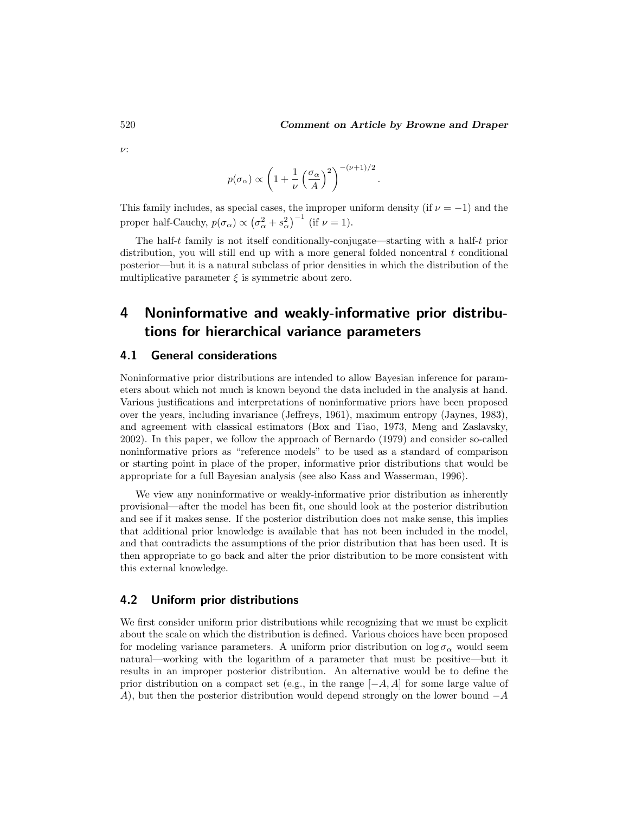$$
p(\sigma_{\alpha}) \propto \left(1 + \frac{1}{\nu} \left(\frac{\sigma_{\alpha}}{A}\right)^2\right)^{-(\nu+1)/2}.
$$

This family includes, as special cases, the improper uniform density (if  $\nu = -1$ ) and the proper half-Cauchy,  $p(\sigma_\alpha) \propto (\sigma_\alpha^2 + s_\alpha^2)^{-1}$  (if  $\nu = 1$ ).

The half-t family is not itself conditionally-conjugate—starting with a half-t prior distribution, you will still end up with a more general folded noncentral  $t$  conditional posterior—but it is a natural subclass of prior densities in which the distribution of the multiplicative parameter  $\xi$  is symmetric about zero.

## <span id="page-5-0"></span>4 Noninformative and weakly-informative prior distributions for hierarchical variance parameters

### 4.1 General considerations

Noninformative prior distributions are intended to allow Bayesian inference for parameters about which not much is known beyond the data included in the analysis at hand. Various justifications and interpretations of noninformative priors have been proposed over the years, including invariance (Jeffreys, 1961), maximum entropy (Jaynes, 1983), and agreement with classical estimators (Box and Tiao, 1973, Meng and Zaslavsky, 2002). In this paper, we follow the approach of Bernardo (1979) and consider so-called noninformative priors as "reference models" to be used as a standard of comparison or starting point in place of the proper, informative prior distributions that would be appropriate for a full Bayesian analysis (see also Kass and Wasserman, 1996).

We view any noninformative or weakly-informative prior distribution as inherently provisional—after the model has been fit, one should look at the posterior distribution and see if it makes sense. If the posterior distribution does not make sense, this implies that additional prior knowledge is available that has not been included in the model, and that contradicts the assumptions of the prior distribution that has been used. It is then appropriate to go back and alter the prior distribution to be more consistent with this external knowledge.

### <span id="page-5-1"></span>4.2 Uniform prior distributions

We first consider uniform prior distributions while recognizing that we must be explicit about the scale on which the distribution is defined. Various choices have been proposed for modeling variance parameters. A uniform prior distribution on  $\log \sigma_{\alpha}$  would seem natural—working with the logarithm of a parameter that must be positive—but it results in an improper posterior distribution. An alternative would be to define the prior distribution on a compact set (e.g., in the range  $[-A, A]$  for some large value of A), but then the posterior distribution would depend strongly on the lower bound  $-A$ 

ν: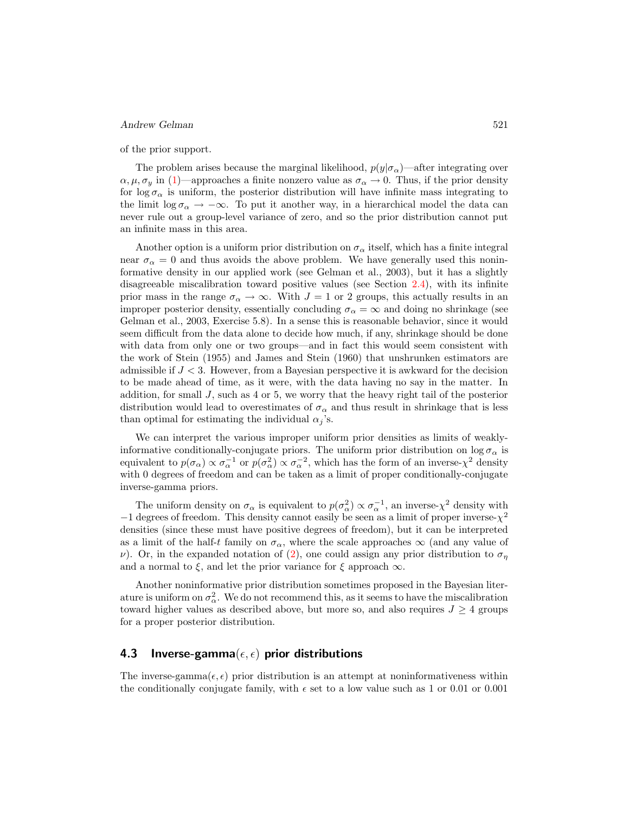of the prior support.

The problem arises because the marginal likelihood,  $p(y|\sigma_{\alpha})$ —after integrating over  $\alpha, \mu, \sigma_y$  in [\(1\)](#page-1-0)—approaches a finite nonzero value as  $\sigma_\alpha \to 0$ . Thus, if the prior density for  $\log \sigma_{\alpha}$  is uniform, the posterior distribution will have infinite mass integrating to the limit  $\log \sigma_{\alpha} \rightarrow -\infty$ . To put it another way, in a hierarchical model the data can never rule out a group-level variance of zero, and so the prior distribution cannot put an infinite mass in this area.

Another option is a uniform prior distribution on  $\sigma_{\alpha}$  itself, which has a finite integral near  $\sigma_{\alpha} = 0$  and thus avoids the above problem. We have generally used this noninformative density in our applied work (see Gelman et al., 2003), but it has a slightly disagreeable miscalibration toward positive values (see Section [2.4\)](#page-2-1), with its infinite prior mass in the range  $\sigma_{\alpha} \rightarrow \infty$ . With  $J = 1$  or 2 groups, this actually results in an improper posterior density, essentially concluding  $\sigma_{\alpha} = \infty$  and doing no shrinkage (see Gelman et al., 2003, Exercise 5.8). In a sense this is reasonable behavior, since it would seem difficult from the data alone to decide how much, if any, shrinkage should be done with data from only one or two groups—and in fact this would seem consistent with the work of Stein (1955) and James and Stein (1960) that unshrunken estimators are admissible if  $J < 3$ . However, from a Bayesian perspective it is awkward for the decision to be made ahead of time, as it were, with the data having no say in the matter. In addition, for small  $J$ , such as  $4$  or  $5$ , we worry that the heavy right tail of the posterior distribution would lead to overestimates of  $\sigma_{\alpha}$  and thus result in shrinkage that is less than optimal for estimating the individual  $\alpha_i$ 's.

We can interpret the various improper uniform prior densities as limits of weaklyinformative conditionally-conjugate priors. The uniform prior distribution on  $\log \sigma_{\alpha}$  is equivalent to  $p(\sigma_\alpha) \propto \sigma_\alpha^{-1}$  or  $p(\sigma_\alpha^2) \propto \sigma_\alpha^{-2}$ , which has the form of an inverse- $\chi^2$  density with 0 degrees of freedom and can be taken as a limit of proper conditionally-conjugate inverse-gamma priors.

The uniform density on  $\sigma_\alpha$  is equivalent to  $p(\sigma_\alpha^2) \propto \sigma_\alpha^{-1}$ , an inverse- $\chi^2$  density with  $-1$  degrees of freedom. This density cannot easily be seen as a limit of proper inverse- $\chi^2$ densities (since these must have positive degrees of freedom), but it can be interpreted as a limit of the half-t family on  $\sigma_{\alpha}$ , where the scale approaches  $\infty$  (and any value of  $ν$ ). Or, in the expanded notation of [\(2\)](#page-4-0), one could assign any prior distribution to  $σ<sub>n</sub>$ and a normal to  $\xi$ , and let the prior variance for  $\xi$  approach  $\infty$ .

Another noninformative prior distribution sometimes proposed in the Bayesian literature is uniform on  $\sigma_{\alpha}^2$ . We do not recommend this, as it seems to have the miscalibration toward higher values as described above, but more so, and also requires  $J \geq 4$  groups for a proper posterior distribution.

### <span id="page-6-0"></span>4.3 Inverse-gamma $(\epsilon, \epsilon)$  prior distributions

The inverse-gamma $(\epsilon, \epsilon)$  prior distribution is an attempt at noninformativeness within the conditionally conjugate family, with  $\epsilon$  set to a low value such as 1 or 0.01 or 0.001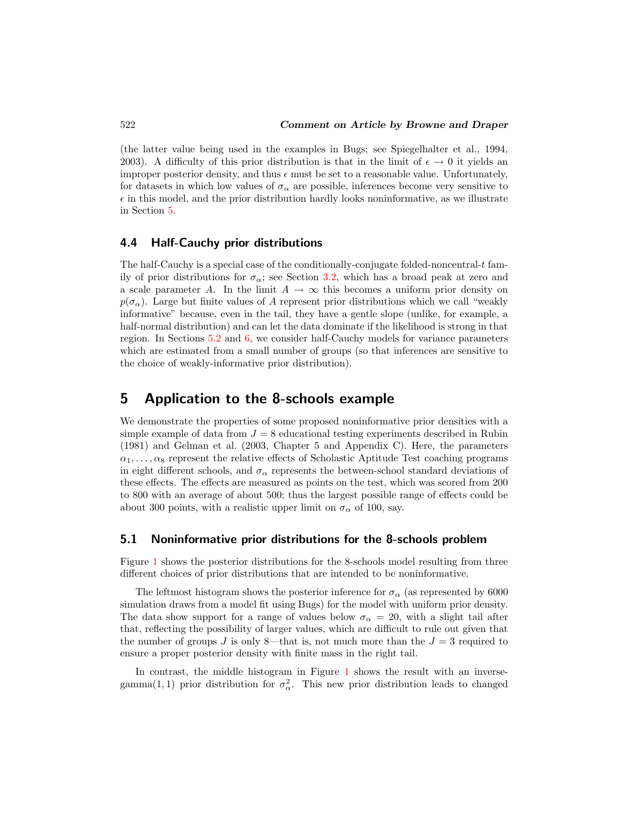(the latter value being used in the examples in Bugs; see Spiegelhalter et al., 1994, 2003). A difficulty of this prior distribution is that in the limit of  $\epsilon \to 0$  it yields an improper posterior density, and thus  $\epsilon$  must be set to a reasonable value. Unfortunately, for datasets in which low values of  $\sigma_{\alpha}$  are possible, inferences become very sensitive to  $\epsilon$  in this model, and the prior distribution hardly looks noninformative, as we illustrate in Section [5.](#page-7-0)

### 4.4 Half-Cauchy prior distributions

The half-Cauchy is a special case of the conditionally-conjugate folded-noncentral-t family of prior distributions for  $\sigma_{\alpha}$ ; see Section [3.2,](#page-4-1) which has a broad peak at zero and a scale parameter A. In the limit  $A \to \infty$  this becomes a uniform prior density on  $p(\sigma_{\alpha})$ . Large but finite values of A represent prior distributions which we call "weakly informative" because, even in the tail, they have a gentle slope (unlike, for example, a half-normal distribution) and can let the data dominate if the likelihood is strong in that region. In Sections [5.2](#page-9-0) and [6,](#page-10-0) we consider half-Cauchy models for variance parameters which are estimated from a small number of groups (so that inferences are sensitive to the choice of weakly-informative prior distribution).

### <span id="page-7-0"></span>5 Application to the 8-schools example

We demonstrate the properties of some proposed noninformative prior densities with a simple example of data from  $J = 8$  educational testing experiments described in Rubin (1981) and Gelman et al. (2003, Chapter 5 and Appendix C). Here, the parameters  $\alpha_1, \ldots, \alpha_8$  represent the relative effects of Scholastic Aptitude Test coaching programs in eight different schools, and  $\sigma_{\alpha}$  represents the between-school standard deviations of these effects. The effects are measured as points on the test, which was scored from 200 to 800 with an average of about 500; thus the largest possible range of effects could be about 300 points, with a realistic upper limit on  $\sigma_{\alpha}$  of 100, say.

### <span id="page-7-1"></span>5.1 Noninformative prior distributions for the 8-schools problem

Figure [1](#page-8-0) shows the posterior distributions for the 8-schools model resulting from three different choices of prior distributions that are intended to be noninformative.

The leftmost histogram shows the posterior inference for  $\sigma_{\alpha}$  (as represented by 6000 simulation draws from a model fit using Bugs) for the model with uniform prior density. The data show support for a range of values below  $\sigma_{\alpha} = 20$ , with a slight tail after that, reflecting the possibility of larger values, which are difficult to rule out given that the number of groups J is only 8—that is, not much more than the  $J = 3$  required to ensure a proper posterior density with finite mass in the right tail.

In contrast, the middle histogram in Figure [1](#page-8-0) shows the result with an inversegamma $(1,1)$  prior distribution for  $\sigma_{\alpha}^2$ . This new prior distribution leads to changed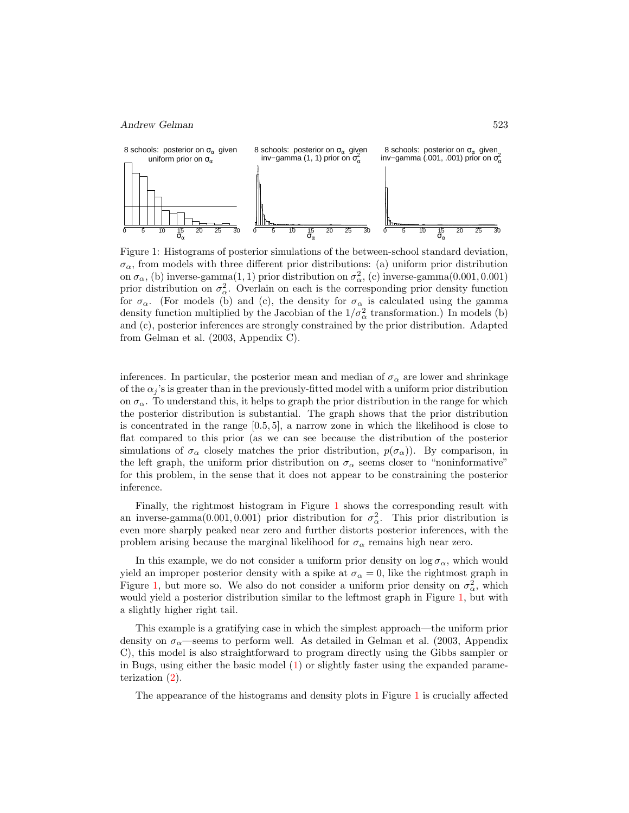

<span id="page-8-0"></span>Figure 1: Histograms of posterior simulations of the between-school standard deviation,  $\sigma_{\alpha}$ , from models with three different prior distributions: (a) uniform prior distribution on  $\sigma_{\alpha}$ , (b) inverse-gamma $(1, 1)$  prior distribution on  $\sigma_{\alpha}^2$ , (c) inverse-gamma $(0.001, 0.001)$ prior distribution on  $\sigma_{\alpha}^2$ . Overlain on each is the corresponding prior density function for  $\sigma_{\alpha}$ . (For models (b) and (c), the density for  $\sigma_{\alpha}$  is calculated using the gamma density function multiplied by the Jacobian of the  $1/\sigma_{\alpha}^2$  transformation.) In models (b) and (c), posterior inferences are strongly constrained by the prior distribution. Adapted from Gelman et al. (2003, Appendix C).

inferences. In particular, the posterior mean and median of  $\sigma_{\alpha}$  are lower and shrinkage of the  $\alpha_j$ 's is greater than in the previously-fitted model with a uniform prior distribution on  $\sigma_{\alpha}$ . To understand this, it helps to graph the prior distribution in the range for which the posterior distribution is substantial. The graph shows that the prior distribution is concentrated in the range [0.5, 5], a narrow zone in which the likelihood is close to flat compared to this prior (as we can see because the distribution of the posterior simulations of  $\sigma_{\alpha}$  closely matches the prior distribution,  $p(\sigma_{\alpha})$ ). By comparison, in the left graph, the uniform prior distribution on  $\sigma_{\alpha}$  seems closer to "noninformative" for this problem, in the sense that it does not appear to be constraining the posterior inference.

Finally, the rightmost histogram in Figure [1](#page-8-0) shows the corresponding result with an inverse-gamma $(0.001, 0.001)$  prior distribution for  $\sigma_{\alpha}^2$ . This prior distribution is even more sharply peaked near zero and further distorts posterior inferences, with the problem arising because the marginal likelihood for  $\sigma_{\alpha}$  remains high near zero.

In this example, we do not consider a uniform prior density on  $\log \sigma_{\alpha}$ , which would yield an improper posterior density with a spike at  $\sigma_{\alpha} = 0$ , like the rightmost graph in Figure [1,](#page-8-0) but more so. We also do not consider a uniform prior density on  $\sigma_{\alpha}^2$ , which would yield a posterior distribution similar to the leftmost graph in Figure [1,](#page-8-0) but with a slightly higher right tail.

This example is a gratifying case in which the simplest approach—the uniform prior density on  $\sigma_{\alpha}$ —seems to perform well. As detailed in Gelman et al. (2003, Appendix C), this model is also straightforward to program directly using the Gibbs sampler or in Bugs, using either the basic model [\(1\)](#page-1-0) or slightly faster using the expanded parameterization [\(2\)](#page-4-0).

The appearance of the histograms and density plots in Figure [1](#page-8-0) is crucially affected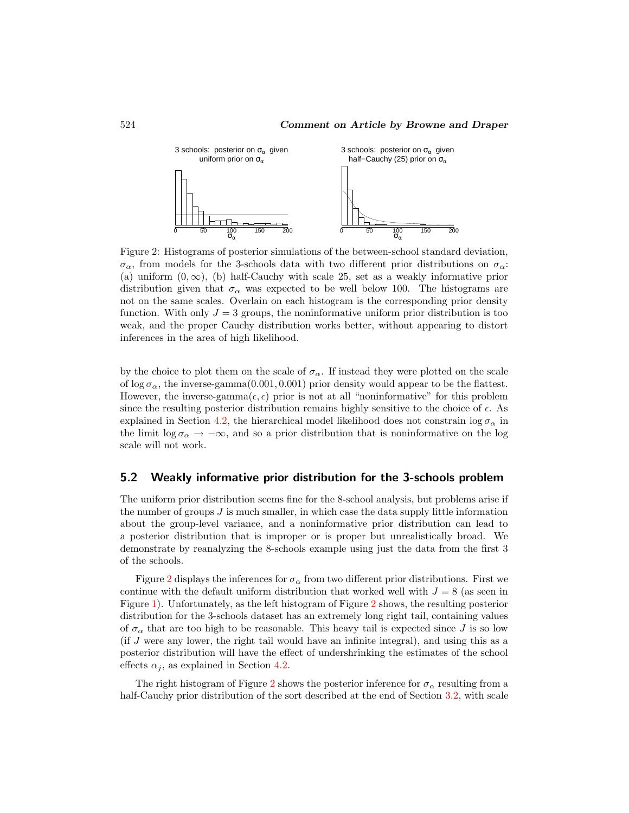

<span id="page-9-1"></span>Figure 2: Histograms of posterior simulations of the between-school standard deviation,  $\sigma_{\alpha}$ , from models for the 3-schools data with two different prior distributions on  $\sigma_{\alpha}$ : (a) uniform  $(0, \infty)$ , (b) half-Cauchy with scale 25, set as a weakly informative prior distribution given that  $\sigma_{\alpha}$  was expected to be well below 100. The histograms are not on the same scales. Overlain on each histogram is the corresponding prior density function. With only  $J = 3$  groups, the noninformative uniform prior distribution is too weak, and the proper Cauchy distribution works better, without appearing to distort inferences in the area of high likelihood.

by the choice to plot them on the scale of  $\sigma_{\alpha}$ . If instead they were plotted on the scale of  $\log \sigma_{\alpha}$ , the inverse-gamma $(0.001, 0.001)$  prior density would appear to be the flattest. However, the inverse-gamma $(\epsilon, \epsilon)$  prior is not at all "noninformative" for this problem since the resulting posterior distribution remains highly sensitive to the choice of  $\epsilon$ . As explained in Section [4.2,](#page-5-1) the hierarchical model likelihood does not constrain  $\log \sigma_{\alpha}$  in the limit log  $\sigma_{\alpha} \to -\infty$ , and so a prior distribution that is noninformative on the log scale will not work.

### <span id="page-9-0"></span>5.2 Weakly informative prior distribution for the 3-schools problem

The uniform prior distribution seems fine for the 8-school analysis, but problems arise if the number of groups  $J$  is much smaller, in which case the data supply little information about the group-level variance, and a noninformative prior distribution can lead to a posterior distribution that is improper or is proper but unrealistically broad. We demonstrate by reanalyzing the 8-schools example using just the data from the first 3 of the schools.

Figure [2](#page-9-1) displays the inferences for  $\sigma_{\alpha}$  from two different prior distributions. First we continue with the default uniform distribution that worked well with  $J = 8$  (as seen in Figure [1\)](#page-8-0). Unfortunately, as the left histogram of Figure [2](#page-9-1) shows, the resulting posterior distribution for the 3-schools dataset has an extremely long right tail, containing values of  $\sigma_{\alpha}$  that are too high to be reasonable. This heavy tail is expected since J is so low (if J were any lower, the right tail would have an infinite integral), and using this as a posterior distribution will have the effect of undershrinking the estimates of the school effects  $\alpha_i$ , as explained in Section [4.2.](#page-5-1)

The right histogram of Figure [2](#page-9-1) shows the posterior inference for  $\sigma_{\alpha}$  resulting from a half-Cauchy prior distribution of the sort described at the end of Section [3.2,](#page-4-1) with scale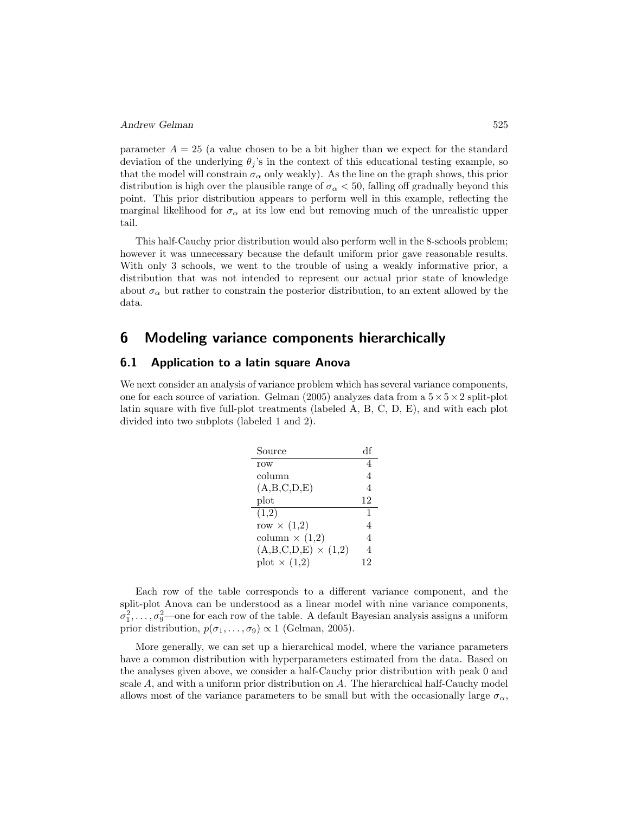parameter  $A = 25$  (a value chosen to be a bit higher than we expect for the standard deviation of the underlying  $\theta_i$ 's in the context of this educational testing example, so that the model will constrain  $\sigma_{\alpha}$  only weakly). As the line on the graph shows, this prior distribution is high over the plausible range of  $\sigma_{\alpha} < 50$ , falling off gradually beyond this point. This prior distribution appears to perform well in this example, reflecting the marginal likelihood for  $\sigma_{\alpha}$  at its low end but removing much of the unrealistic upper tail.

This half-Cauchy prior distribution would also perform well in the 8-schools problem; however it was unnecessary because the default uniform prior gave reasonable results. With only 3 schools, we went to the trouble of using a weakly informative prior, a distribution that was not intended to represent our actual prior state of knowledge about  $\sigma_{\alpha}$  but rather to constrain the posterior distribution, to an extent allowed by the data.

## <span id="page-10-0"></span>6 Modeling variance components hierarchically

### 6.1 Application to a latin square Anova

We next consider an analysis of variance problem which has several variance components, one for each source of variation. Gelman (2005) analyzes data from a  $5 \times 5 \times 2$  split-plot latin square with five full-plot treatments (labeled A, B, C, D, E), and with each plot divided into two subplots (labeled 1 and 2).

| Source                     |    |
|----------------------------|----|
| row                        | 4  |
| column                     | 4  |
| (A,B,C,D,E)                | 4  |
| plot                       | 12 |
| (1,2)                      | 1  |
| row $\times$ (1,2)         | 4  |
| column $\times$ (1,2)      | 4  |
| $(A,B,C,D,E) \times (1,2)$ | 4  |
| plot $\times$ (1,2)        | 12 |

Each row of the table corresponds to a different variance component, and the split-plot Anova can be understood as a linear model with nine variance components,  $\sigma_1^2, \ldots, \sigma_9^2$ —one for each row of the table. A default Bayesian analysis assigns a uniform prior distribution,  $p(\sigma_1, \ldots, \sigma_9) \propto 1$  (Gelman, 2005).

More generally, we can set up a hierarchical model, where the variance parameters have a common distribution with hyperparameters estimated from the data. Based on the analyses given above, we consider a half-Cauchy prior distribution with peak 0 and scale  $A$ , and with a uniform prior distribution on  $A$ . The hierarchical half-Cauchy model allows most of the variance parameters to be small but with the occasionally large  $\sigma_{\alpha}$ ,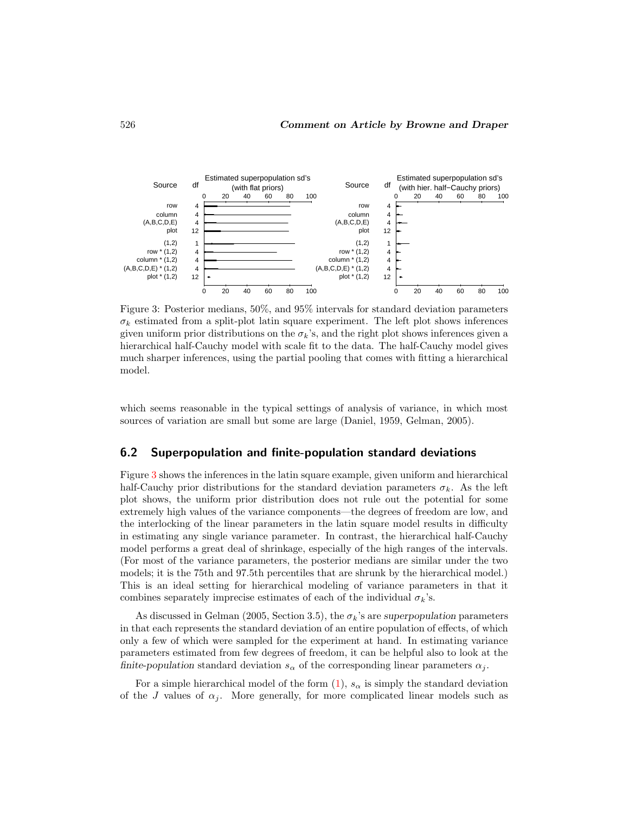

<span id="page-11-0"></span>Figure 3: Posterior medians, 50%, and 95% intervals for standard deviation parameters  $\sigma_k$  estimated from a split-plot latin square experiment. The left plot shows inferences given uniform prior distributions on the  $\sigma_k$ 's, and the right plot shows inferences given a hierarchical half-Cauchy model with scale fit to the data. The half-Cauchy model gives much sharper inferences, using the partial pooling that comes with fitting a hierarchical model.

which seems reasonable in the typical settings of analysis of variance, in which most sources of variation are small but some are large (Daniel, 1959, Gelman, 2005).

### 6.2 Superpopulation and finite-population standard deviations

Figure [3](#page-11-0) shows the inferences in the latin square example, given uniform and hierarchical half-Cauchy prior distributions for the standard deviation parameters  $\sigma_k$ . As the left plot shows, the uniform prior distribution does not rule out the potential for some extremely high values of the variance components—the degrees of freedom are low, and the interlocking of the linear parameters in the latin square model results in difficulty in estimating any single variance parameter. In contrast, the hierarchical half-Cauchy model performs a great deal of shrinkage, especially of the high ranges of the intervals. (For most of the variance parameters, the posterior medians are similar under the two models; it is the 75th and 97.5th percentiles that are shrunk by the hierarchical model.) This is an ideal setting for hierarchical modeling of variance parameters in that it combines separately imprecise estimates of each of the individual  $\sigma_k$ 's.

As discussed in Gelman (2005, Section 3.5), the  $\sigma_k$ 's are superpopulation parameters in that each represents the standard deviation of an entire population of effects, of which only a few of which were sampled for the experiment at hand. In estimating variance parameters estimated from few degrees of freedom, it can be helpful also to look at the finite-population standard deviation  $s_{\alpha}$  of the corresponding linear parameters  $\alpha_i$ .

For a simple hierarchical model of the form  $(1)$ ,  $s_{\alpha}$  is simply the standard deviation of the J values of  $\alpha_i$ . More generally, for more complicated linear models such as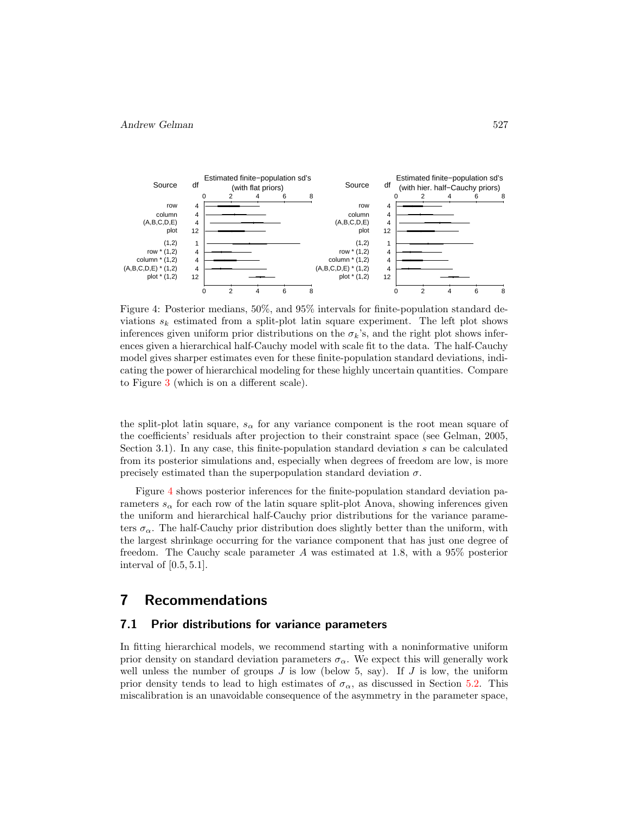

<span id="page-12-1"></span>Figure 4: Posterior medians, 50%, and 95% intervals for finite-population standard deviations  $s_k$  estimated from a split-plot latin square experiment. The left plot shows inferences given uniform prior distributions on the  $\sigma_k$ 's, and the right plot shows inferences given a hierarchical half-Cauchy model with scale fit to the data. The half-Cauchy model gives sharper estimates even for these finite-population standard deviations, indicating the power of hierarchical modeling for these highly uncertain quantities. Compare to Figure [3](#page-11-0) (which is on a different scale).

the split-plot latin square,  $s_{\alpha}$  for any variance component is the root mean square of the coefficients' residuals after projection to their constraint space (see Gelman, 2005, Section 3.1). In any case, this finite-population standard deviation s can be calculated from its posterior simulations and, especially when degrees of freedom are low, is more precisely estimated than the superpopulation standard deviation  $\sigma$ .

Figure [4](#page-12-1) shows posterior inferences for the finite-population standard deviation parameters  $s_{\alpha}$  for each row of the latin square split-plot Anova, showing inferences given the uniform and hierarchical half-Cauchy prior distributions for the variance parameters  $\sigma_{\alpha}$ . The half-Cauchy prior distribution does slightly better than the uniform, with the largest shrinkage occurring for the variance component that has just one degree of freedom. The Cauchy scale parameter A was estimated at 1.8, with a 95% posterior interval of [0.5, 5.1].

### <span id="page-12-0"></span>7 Recommendations

### 7.1 Prior distributions for variance parameters

In fitting hierarchical models, we recommend starting with a noninformative uniform prior density on standard deviation parameters  $\sigma_{\alpha}$ . We expect this will generally work well unless the number of groups  $J$  is low (below 5, say). If  $J$  is low, the uniform prior density tends to lead to high estimates of  $\sigma_{\alpha}$ , as discussed in Section [5.2.](#page-9-0) This miscalibration is an unavoidable consequence of the asymmetry in the parameter space,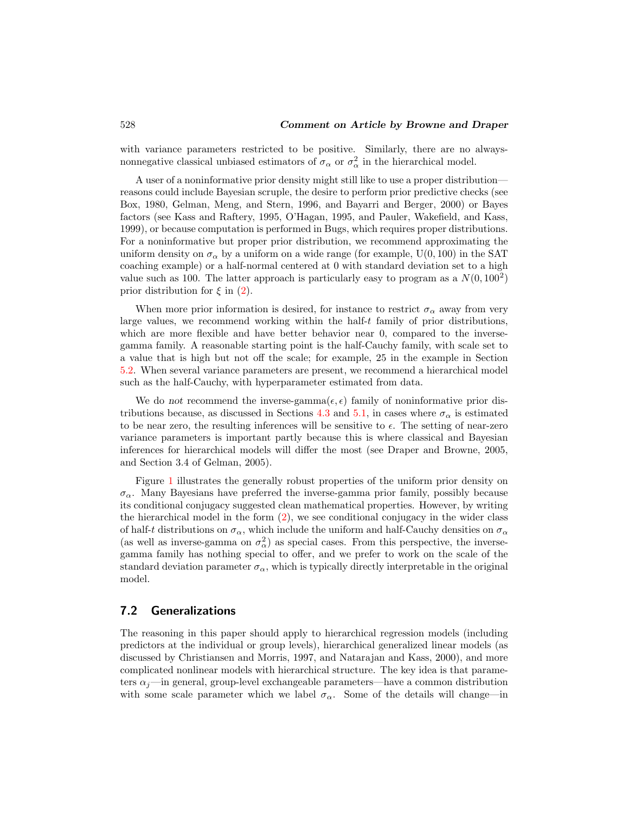#### 528 Comment on Article by Browne and Draper

with variance parameters restricted to be positive. Similarly, there are no alwaysnonnegative classical unbiased estimators of  $\sigma_{\alpha}$  or  $\sigma_{\alpha}^2$  in the hierarchical model.

A user of a noninformative prior density might still like to use a proper distribution reasons could include Bayesian scruple, the desire to perform prior predictive checks (see Box, 1980, Gelman, Meng, and Stern, 1996, and Bayarri and Berger, 2000) or Bayes factors (see Kass and Raftery, 1995, O'Hagan, 1995, and Pauler, Wakefield, and Kass, 1999), or because computation is performed in Bugs, which requires proper distributions. For a noninformative but proper prior distribution, we recommend approximating the uniform density on  $\sigma_{\alpha}$  by a uniform on a wide range (for example, U(0, 100) in the SAT coaching example) or a half-normal centered at 0 with standard deviation set to a high value such as 100. The latter approach is particularly easy to program as a  $N(0, 100^2)$ prior distribution for  $\xi$  in [\(2\)](#page-4-0).

When more prior information is desired, for instance to restrict  $\sigma_{\alpha}$  away from very large values, we recommend working within the half- $t$  family of prior distributions. which are more flexible and have better behavior near 0, compared to the inversegamma family. A reasonable starting point is the half-Cauchy family, with scale set to a value that is high but not off the scale; for example, 25 in the example in Section [5.2.](#page-9-0) When several variance parameters are present, we recommend a hierarchical model such as the half-Cauchy, with hyperparameter estimated from data.

We do not recommend the inverse-gamma $(\epsilon, \epsilon)$  family of noninformative prior dis-tributions because, as discussed in Sections [4.3](#page-6-0) and [5.1,](#page-7-1) in cases where  $\sigma_{\alpha}$  is estimated to be near zero, the resulting inferences will be sensitive to  $\epsilon$ . The setting of near-zero variance parameters is important partly because this is where classical and Bayesian inferences for hierarchical models will differ the most (see Draper and Browne, 2005, and Section 3.4 of Gelman, 2005).

Figure [1](#page-8-0) illustrates the generally robust properties of the uniform prior density on  $\sigma_{\alpha}$ . Many Bayesians have preferred the inverse-gamma prior family, possibly because its conditional conjugacy suggested clean mathematical properties. However, by writing the hierarchical model in the form  $(2)$ , we see conditional conjugacy in the wider class of half-t distributions on  $\sigma_{\alpha}$ , which include the uniform and half-Cauchy densities on  $\sigma_{\alpha}$ (as well as inverse-gamma on  $\sigma_{\alpha}^2$ ) as special cases. From this perspective, the inversegamma family has nothing special to offer, and we prefer to work on the scale of the standard deviation parameter  $\sigma_{\alpha}$ , which is typically directly interpretable in the original model.

### <span id="page-13-0"></span>7.2 Generalizations

The reasoning in this paper should apply to hierarchical regression models (including predictors at the individual or group levels), hierarchical generalized linear models (as discussed by Christiansen and Morris, 1997, and Natarajan and Kass, 2000), and more complicated nonlinear models with hierarchical structure. The key idea is that parameters  $\alpha_i$ —in general, group-level exchangeable parameters—have a common distribution with some scale parameter which we label  $\sigma_{\alpha}$ . Some of the details will change—in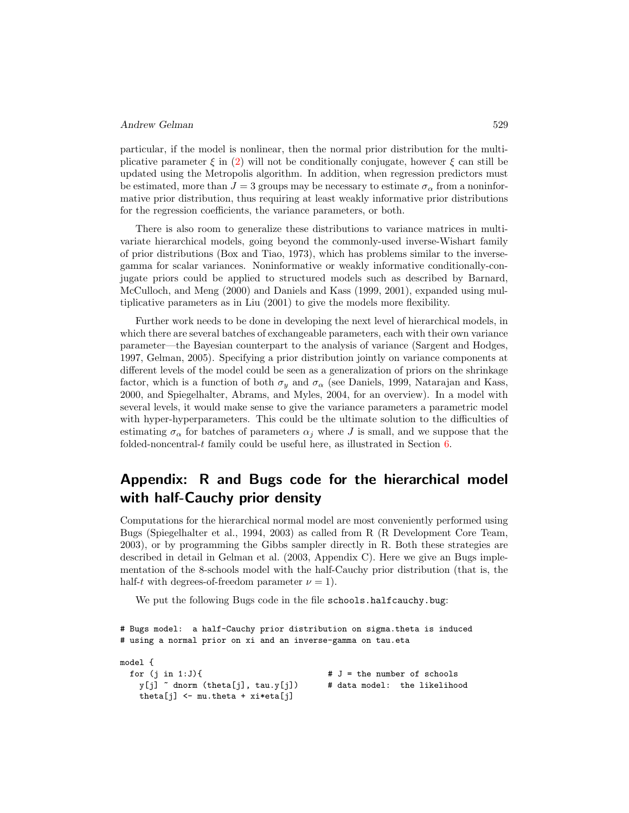particular, if the model is nonlinear, then the normal prior distribution for the multiplicative parameter  $\xi$  in [\(2\)](#page-4-0) will not be conditionally conjugate, however  $\xi$  can still be updated using the Metropolis algorithm. In addition, when regression predictors must be estimated, more than  $J = 3$  groups may be necessary to estimate  $\sigma_{\alpha}$  from a noninformative prior distribution, thus requiring at least weakly informative prior distributions for the regression coefficients, the variance parameters, or both.

There is also room to generalize these distributions to variance matrices in multivariate hierarchical models, going beyond the commonly-used inverse-Wishart family of prior distributions (Box and Tiao, 1973), which has problems similar to the inversegamma for scalar variances. Noninformative or weakly informative conditionally-conjugate priors could be applied to structured models such as described by Barnard, McCulloch, and Meng (2000) and Daniels and Kass (1999, 2001), expanded using multiplicative parameters as in Liu (2001) to give the models more flexibility.

Further work needs to be done in developing the next level of hierarchical models, in which there are several batches of exchangeable parameters, each with their own variance parameter—the Bayesian counterpart to the analysis of variance (Sargent and Hodges, 1997, Gelman, 2005). Specifying a prior distribution jointly on variance components at different levels of the model could be seen as a generalization of priors on the shrinkage factor, which is a function of both  $\sigma_y$  and  $\sigma_\alpha$  (see Daniels, 1999, Natarajan and Kass, 2000, and Spiegelhalter, Abrams, and Myles, 2004, for an overview). In a model with several levels, it would make sense to give the variance parameters a parametric model with hyper-hyperparameters. This could be the ultimate solution to the difficulties of estimating  $\sigma_{\alpha}$  for batches of parameters  $\alpha_j$  where J is small, and we suppose that the folded-noncentral-t family could be useful here, as illustrated in Section  $6$ .

## Appendix: R and Bugs code for the hierarchical model with half-Cauchy prior density

Computations for the hierarchical normal model are most conveniently performed using Bugs (Spiegelhalter et al., 1994, 2003) as called from R (R Development Core Team, 2003), or by programming the Gibbs sampler directly in R. Both these strategies are described in detail in Gelman et al. (2003, Appendix C). Here we give an Bugs implementation of the 8-schools model with the half-Cauchy prior distribution (that is, the half-t with degrees-of-freedom parameter  $\nu = 1$ ).

We put the following Bugs code in the file schools.halfcauchy.bug:

```
# Bugs model: a half-Cauchy prior distribution on sigma.theta is induced
# using a normal prior on xi and an inverse-gamma on tau.eta
model {
 for (j in 1:J){ # J = the number of schools
   y[j] \tilde{a} dnorm (theta[j], tau.y[j]) \tilde{a} # data model: the likelihood
   theta[j] \leq mu.theta + xi*eta[j]
```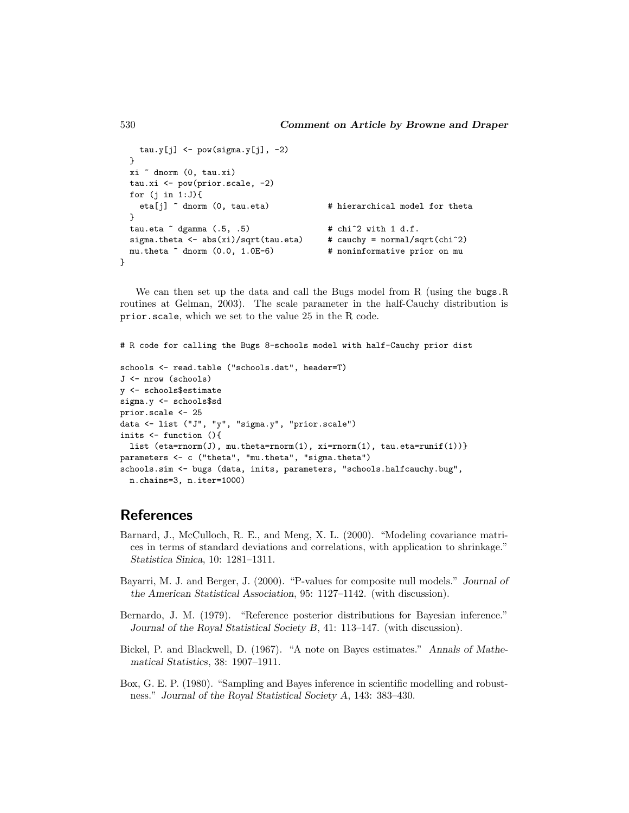```
tau.y[j] \leftarrow pow(sigma.y[j], -2)}
 xi ~ dnorm (0, tau.xi)
  tau.xi <- pow(prior.scale, -2)
 for (i \in 1:J)eta[j] ~ dnorm (0, tau.eta) # hierarchical model for theta
  }
 tau.eta \tilde{ } dgamma (.5, .5) \qquad # chi^2 with 1 d.f.
 sigma.theta <- abs(xi)/sqrt(tau.eta) # cauchy = normal/sqrt(chi^2)
 mu.theta ~ dnorm (0.0, 1.0E-6) # noninformative prior on mu
}
```
We can then set up the data and call the Bugs model from R (using the bugs.R routines at Gelman, 2003). The scale parameter in the half-Cauchy distribution is prior.scale, which we set to the value 25 in the R code.

```
# R code for calling the Bugs 8-schools model with half-Cauchy prior dist
schools <- read.table ("schools.dat", header=T)
J <- nrow (schools)
y <- schools$estimate
sigma.y <- schools$sd
prior.scale <- 25
data <- list ("J", "y", "sigma.y", "prior.scale")
inits <- function (){
 list (\text{eta=rrnorm}(J), \text{mu.theta=rrnorm}(1), \text{xi=rrnorm}(1), \text{tau-etamin}(1))parameters <- c ("theta", "mu.theta", "sigma.theta")
schools.sim <- bugs (data, inits, parameters, "schools.halfcauchy.bug",
 n.chains=3, n.iter=1000)
```
### References

- Barnard, J., McCulloch, R. E., and Meng, X. L. (2000). "Modeling covariance matrices in terms of standard deviations and correlations, with application to shrinkage." Statistica Sinica, 10: 1281–1311.
- Bayarri, M. J. and Berger, J. (2000). "P-values for composite null models." Journal of the American Statistical Association, 95: 1127–1142. (with discussion).
- Bernardo, J. M. (1979). "Reference posterior distributions for Bayesian inference." Journal of the Royal Statistical Society B, 41: 113–147. (with discussion).
- Bickel, P. and Blackwell, D. (1967). "A note on Bayes estimates." Annals of Mathematical Statistics, 38: 1907–1911.
- Box, G. E. P. (1980). "Sampling and Bayes inference in scientific modelling and robustness." Journal of the Royal Statistical Society A, 143: 383–430.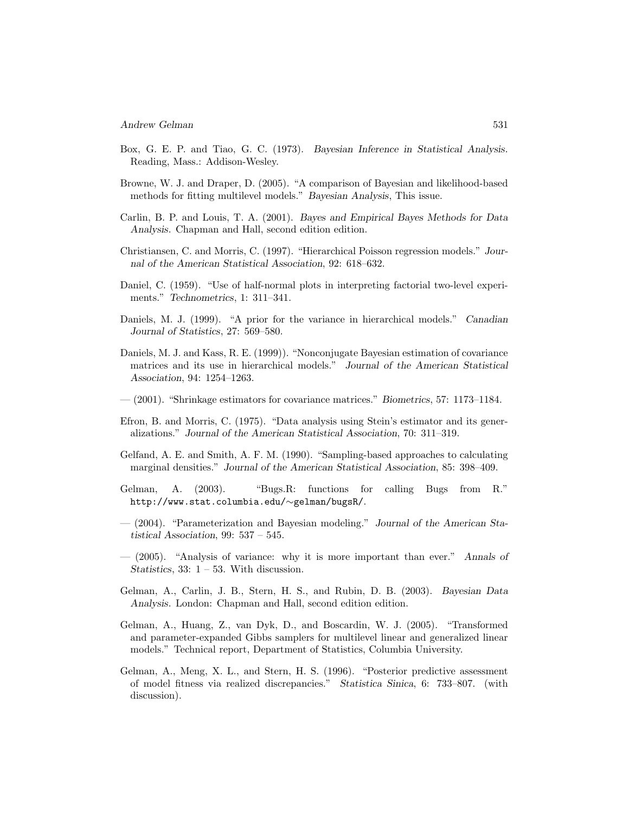- Box, G. E. P. and Tiao, G. C. (1973). Bayesian Inference in Statistical Analysis. Reading, Mass.: Addison-Wesley.
- Browne, W. J. and Draper, D. (2005). "A comparison of Bayesian and likelihood-based methods for fitting multilevel models." Bayesian Analysis, This issue.
- Carlin, B. P. and Louis, T. A. (2001). Bayes and Empirical Bayes Methods for Data Analysis. Chapman and Hall, second edition edition.
- Christiansen, C. and Morris, C. (1997). "Hierarchical Poisson regression models." Journal of the American Statistical Association, 92: 618–632.
- Daniel, C. (1959). "Use of half-normal plots in interpreting factorial two-level experiments." Technometrics, 1: 311–341.
- Daniels, M. J. (1999). "A prior for the variance in hierarchical models." Canadian Journal of Statistics, 27: 569–580.
- Daniels, M. J. and Kass, R. E. (1999)). "Nonconjugate Bayesian estimation of covariance matrices and its use in hierarchical models." Journal of the American Statistical Association, 94: 1254–1263.
- (2001). "Shrinkage estimators for covariance matrices." Biometrics, 57: 1173–1184.
- Efron, B. and Morris, C. (1975). "Data analysis using Stein's estimator and its generalizations." Journal of the American Statistical Association, 70: 311–319.
- Gelfand, A. E. and Smith, A. F. M. (1990). "Sampling-based approaches to calculating marginal densities." Journal of the American Statistical Association, 85: 398–409.
- Gelman, A. (2003). "Bugs.R: functions for calling Bugs from R." http://www.stat.columbia.edu/∼gelman/bugsR/.
- (2004). "Parameterization and Bayesian modeling." Journal of the American Statistical Association,  $99: 537 - 545$ .
- (2005). "Analysis of variance: why it is more important than ever." Annals of Statistics,  $33: 1 - 53$ . With discussion.
- Gelman, A., Carlin, J. B., Stern, H. S., and Rubin, D. B. (2003). Bayesian Data Analysis. London: Chapman and Hall, second edition edition.
- Gelman, A., Huang, Z., van Dyk, D., and Boscardin, W. J. (2005). "Transformed and parameter-expanded Gibbs samplers for multilevel linear and generalized linear models." Technical report, Department of Statistics, Columbia University.
- Gelman, A., Meng, X. L., and Stern, H. S. (1996). "Posterior predictive assessment of model fitness via realized discrepancies." Statistica Sinica, 6: 733–807. (with discussion).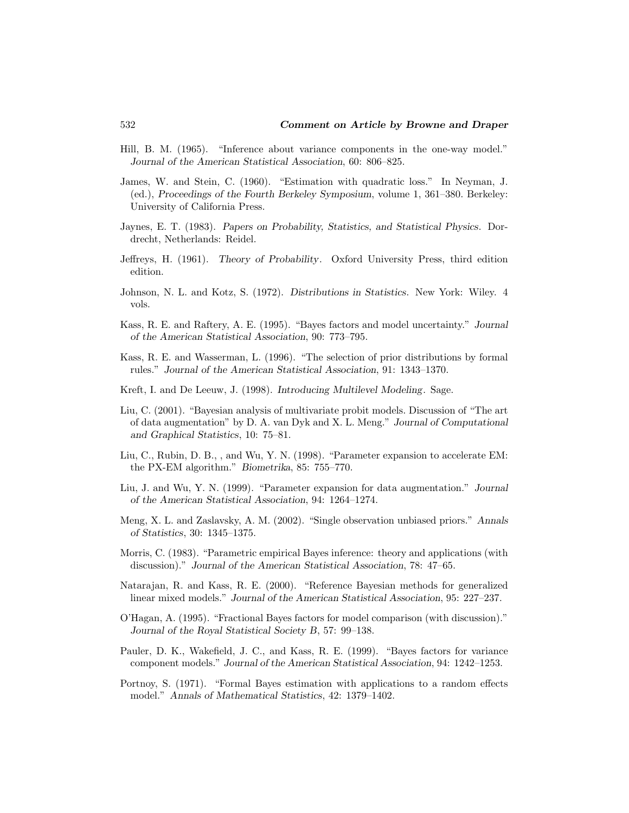- Hill, B. M. (1965). "Inference about variance components in the one-way model." Journal of the American Statistical Association, 60: 806–825.
- James, W. and Stein, C. (1960). "Estimation with quadratic loss." In Neyman, J. (ed.), Proceedings of the Fourth Berkeley Symposium, volume 1, 361–380. Berkeley: University of California Press.
- Jaynes, E. T. (1983). Papers on Probability, Statistics, and Statistical Physics. Dordrecht, Netherlands: Reidel.
- Jeffreys, H. (1961). Theory of Probability. Oxford University Press, third edition edition.
- Johnson, N. L. and Kotz, S. (1972). Distributions in Statistics. New York: Wiley. 4 vols.
- Kass, R. E. and Raftery, A. E. (1995). "Bayes factors and model uncertainty." Journal of the American Statistical Association, 90: 773–795.
- Kass, R. E. and Wasserman, L. (1996). "The selection of prior distributions by formal rules." Journal of the American Statistical Association, 91: 1343–1370.
- Kreft, I. and De Leeuw, J. (1998). Introducing Multilevel Modeling. Sage.
- Liu, C. (2001). "Bayesian analysis of multivariate probit models. Discussion of "The art of data augmentation" by D. A. van Dyk and X. L. Meng." Journal of Computational and Graphical Statistics, 10: 75–81.
- Liu, C., Rubin, D. B., , and Wu, Y. N. (1998). "Parameter expansion to accelerate EM: the PX-EM algorithm." Biometrika, 85: 755–770.
- Liu, J. and Wu, Y. N. (1999). "Parameter expansion for data augmentation." Journal of the American Statistical Association, 94: 1264–1274.
- Meng, X. L. and Zaslavsky, A. M. (2002). "Single observation unbiased priors." Annals of Statistics, 30: 1345–1375.
- Morris, C. (1983). "Parametric empirical Bayes inference: theory and applications (with discussion)." Journal of the American Statistical Association, 78: 47–65.
- Natarajan, R. and Kass, R. E. (2000). "Reference Bayesian methods for generalized linear mixed models." Journal of the American Statistical Association, 95: 227–237.
- O'Hagan, A. (1995). "Fractional Bayes factors for model comparison (with discussion)." Journal of the Royal Statistical Society B, 57: 99–138.
- Pauler, D. K., Wakefield, J. C., and Kass, R. E. (1999). "Bayes factors for variance component models." Journal of the American Statistical Association, 94: 1242–1253.
- Portnoy, S. (1971). "Formal Bayes estimation with applications to a random effects model." Annals of Mathematical Statistics, 42: 1379–1402.